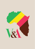